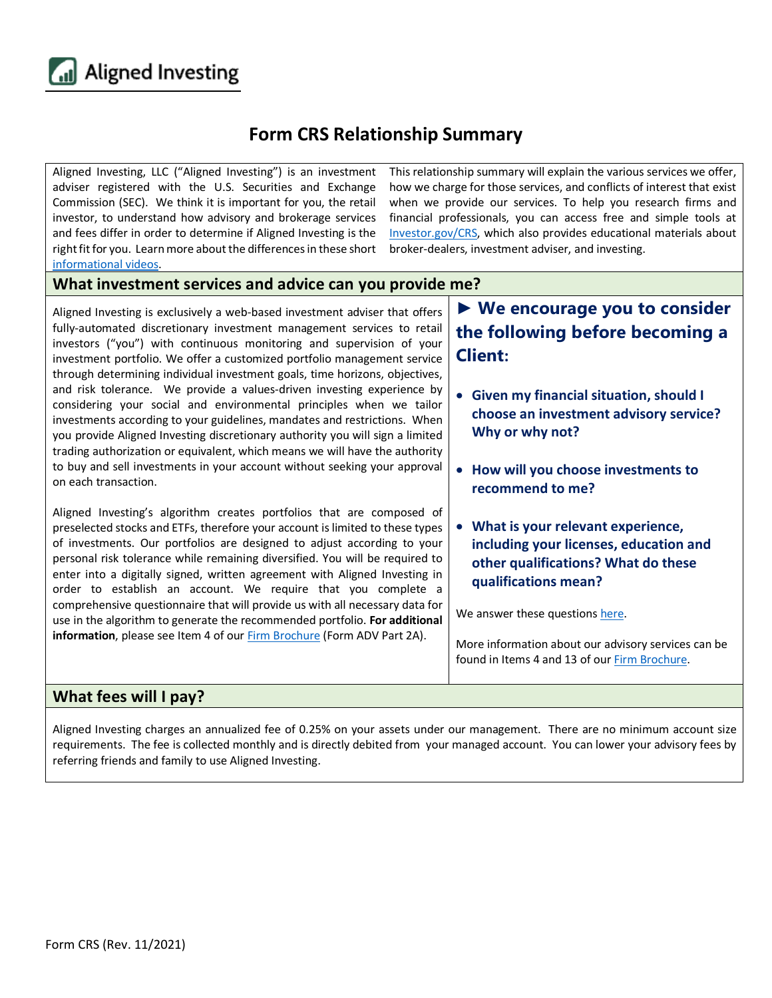

## **Form CRS Relationship Summary**

Aligned Investing, LLC ("Aligned Investing") is an investment adviser registered with the U.S. Securities and Exchange Commission (SEC). We think it is important for you, the retail investor, to understand how advisory and brokerage services and fees differ in order to determine if Aligned Investing is the right fit for you. Learn more about the differences in these short [informational videos.](https://www.youtube.com/playlist?list=PLrB8PjaXSV6uLdNIz6MVpbGLBHNyXPc-h)

This relationship summary will explain the various services we offer, how we charge for those services, and conflicts of interest that exist when we provide our services. To help you research firms and financial professionals, you can access free and simple tools at [Investor.gov/CRS,](https://www.investor.gov/CRS) which also provides educational materials about broker-dealers, investment adviser, and investing.

## **What investment services and advice can you provide me?**

Aligned Investing is exclusively a web-based investment adviser that offers fully-automated discretionary investment management services to retail investors ("you") with continuous monitoring and supervision of your investment portfolio. We offer a customized portfolio management service through determining individual investment goals, time horizons, objectives, and risk tolerance. We provide a values-driven investing experience by considering your social and environmental principles when we tailor investments according to your guidelines, mandates and restrictions. When you provide Aligned Investing discretionary authority you will sign a limited trading authorization or equivalent, which means we will have the authority to buy and sell investments in your account without seeking your approval on each transaction. **Client: Why or why not?**

Aligned Investing's algorithm creates portfolios that are composed of preselected stocks and ETFs, therefore your account is limited to these types of investments. Our portfolios are designed to adjust according to your personal risk tolerance while remaining diversified. You will be required to enter into a digitally signed, written agreement with Aligned Investing in order to establish an account. We require that you complete a comprehensive questionnaire that will provide us with all necessary data for use in the algorithm to generate the recommended portfolio. **For additional information**, please see Item 4 of our **Firm Brochure** (Form ADV Part 2A).

## **► We encourage you to consider the following before becoming a**

- **Given my financial situation, should I choose an investment advisory service?**
- **How will you choose investments to recommend to me?**
- **What is your relevant experience, including your licenses, education and other qualifications? What do these qualifications mean?**

We answer these question[s here.](https://alignedinvesting.co/assets/docs/conversation_starter.pdf)

More information about our advisory services can be found in Items 4 and 13 of our [Firm Brochure.](https://alignedinvesting.co/assets/docs/form_adv_part_2.pdf)

## **What fees will I pay?**

Aligned Investing charges an annualized fee of 0.25% on your assets under our management. There are no minimum account size requirements. The fee is collected monthly and is directly debited from your managed account. You can lower your advisory fees by referring friends and family to use Aligned Investing.